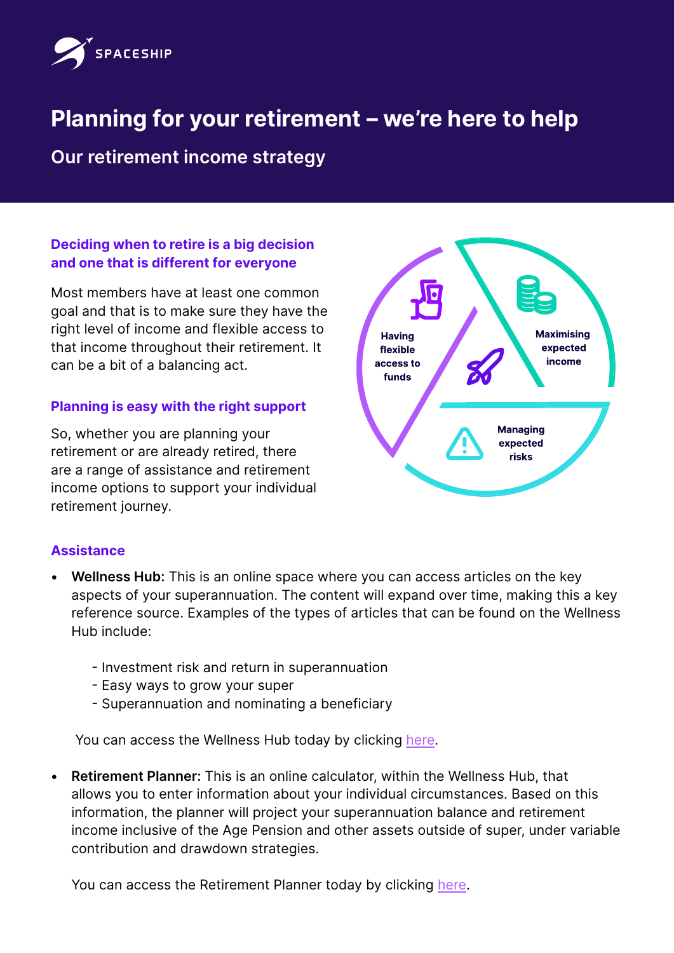

# **Planning for your retirement – we're here to help**

**Our retirement income strategy**

## **Deciding when to retire is a big decision and one that is different for everyone**

Most members have at least one common goal and that is to make sure they have the right level of income and flexible access to that income throughout their retirement. It can be a bit of a balancing act.

# **Planning is easy with the right support**

So, whether you are planning your retirement or are already retired, there are a range of assistance and retirement income options to support your individual retirement journey.



## **Assistance**

- **• Wellness Hub:** This is an online space where you can access articles on the key aspects of your superannuation. The content will expand over time, making this a key reference source. Examples of the types of articles that can be found on the Wellness Hub include:
	- Investment risk and return in superannuation
	- Easy ways to grow your super
	- Superannuation and nominating a beneficiary

You can access the Wellness Hub today by clicking [here](https://diversa.com.au/resources/).

**• Retirement Planner:** This is an online calculator, within the Wellness Hub, that allows you to enter information about your individual circumstances. Based on this information, the planner will project your superannuation balance and retirement income inclusive of the Age Pension and other assets outside of super, under variable contribution and drawdown strategies.

You can access the Retirement Planner today by clicking [here](https://diversa.com.au/tools-calculators/retirement-planner/).